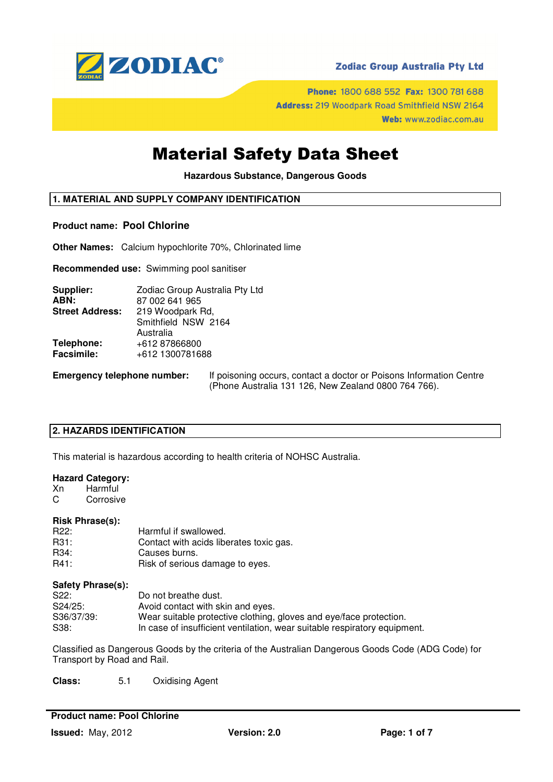

## **Zodiac Group Australia Pty Ltd**

Phone: 1800 688 552 Fax: 1300 781 688 Address: 219 Woodpark Road Smithfield NSW 2164 Web: www.zodiac.com.au

# Material Safety Data Sheet

**Hazardous Substance, Dangerous Goods** 

## **1. MATERIAL AND SUPPLY COMPANY IDENTIFICATION**

### **Product name: Pool Chlorine**

**Other Names:** Calcium hypochlorite 70%, Chlorinated lime

**Recommended use:** Swimming pool sanitiser

| Supplier:              | Zodiac Group Australia Pty Ltd |  |
|------------------------|--------------------------------|--|
| ABN:                   | 87 002 641 965                 |  |
| <b>Street Address:</b> | 219 Woodpark Rd,               |  |
|                        | Smithfield NSW 2164            |  |
|                        | Australia                      |  |
| Telephone:             | +612 87866800                  |  |
| <b>Facsimile:</b>      | +612 1300781688                |  |
|                        |                                |  |

**Emergency telephone number:** If poisoning occurs, contact a doctor or Poisons Information Centre (Phone Australia 131 126, New Zealand 0800 764 766).

## **2. HAZARDS IDENTIFICATION**

This material is hazardous according to health criteria of NOHSC Australia.

### **Hazard Category:**

Xn Harmful C Corrosive

### **Risk Phrase(s):**

| R22: | Harmful if swallowed.                   |
|------|-----------------------------------------|
| R31: | Contact with acids liberates toxic gas. |
| R34: | Causes burns.                           |
| R41: | Risk of serious damage to eyes.         |

### **Safety Phrase(s):**

| S <sub>22</sub> : | Do not breathe dust.                                                      |
|-------------------|---------------------------------------------------------------------------|
| $S24/25$ :        | Avoid contact with skin and eyes.                                         |
| S36/37/39:        | Wear suitable protective clothing, gloves and eye/face protection.        |
| S38:              | In case of insufficient ventilation, wear suitable respiratory equipment. |

Classified as Dangerous Goods by the criteria of the Australian Dangerous Goods Code (ADG Code) for Transport by Road and Rail.

**Class:** 5.1 Oxidising Agent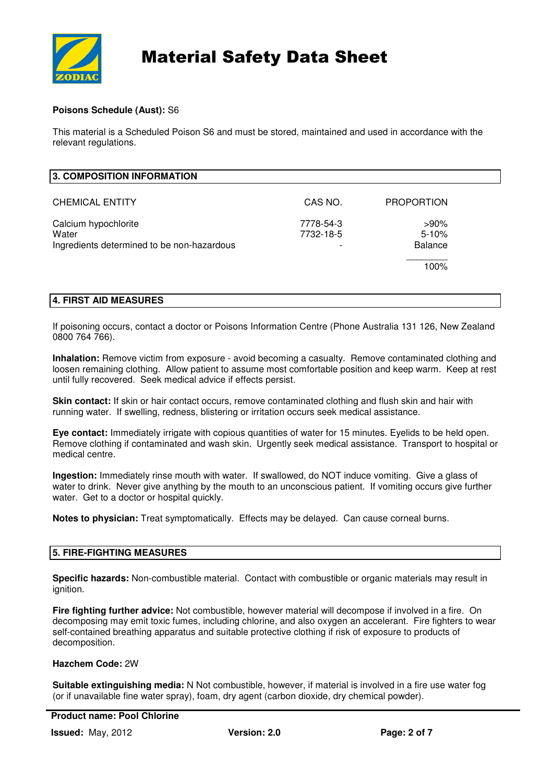

## **Poisons Schedule (Aust):** S6

This material is a Scheduled Poison S6 and must be stored, maintained and used in accordance with the relevant regulations.

| 3. COMPOSITION INFORMATION                 |           |                   |
|--------------------------------------------|-----------|-------------------|
| <b>CHEMICAL ENTITY</b>                     | CAS NO.   | <b>PROPORTION</b> |
| Calcium hypochlorite                       | 7778-54-3 | $>90\%$           |
| Water                                      | 7732-18-5 | $5 - 10%$         |
| Ingredients determined to be non-hazardous |           | <b>Balance</b>    |
|                                            |           | 100%              |

## **4. FIRST AID MEASURES**

If poisoning occurs, contact a doctor or Poisons Information Centre (Phone Australia 131 126, New Zealand 0800 764 766).

**Inhalation:** Remove victim from exposure - avoid becoming a casualty. Remove contaminated clothing and loosen remaining clothing. Allow patient to assume most comfortable position and keep warm. Keep at rest until fully recovered. Seek medical advice if effects persist.

**Skin contact:** If skin or hair contact occurs, remove contaminated clothing and flush skin and hair with running water. If swelling, redness, blistering or irritation occurs seek medical assistance.

**Eye contact:** Immediately irrigate with copious quantities of water for 15 minutes. Eyelids to be held open. Remove clothing if contaminated and wash skin. Urgently seek medical assistance. Transport to hospital or medical centre.

**Ingestion:** Immediately rinse mouth with water. If swallowed, do NOT induce vomiting. Give a glass of water to drink. Never give anything by the mouth to an unconscious patient. If vomiting occurs give further water. Get to a doctor or hospital quickly.

**Notes to physician:** Treat symptomatically. Effects may be delayed. Can cause corneal burns.

## **5. FIRE-FIGHTING MEASURES**

**Specific hazards:** Non-combustible material. Contact with combustible or organic materials may result in ignition.

**Fire fighting further advice:** Not combustible, however material will decompose if involved in a fire. On decomposing may emit toxic fumes, including chlorine, and also oxygen an accelerant. Fire fighters to wear self-contained breathing apparatus and suitable protective clothing if risk of exposure to products of decomposition.

### **Hazchem Code:** 2W

**Suitable extinguishing media:** N Not combustible, however, if material is involved in a fire use water fog (or if unavailable fine water spray), foam, dry agent (carbon dioxide, dry chemical powder).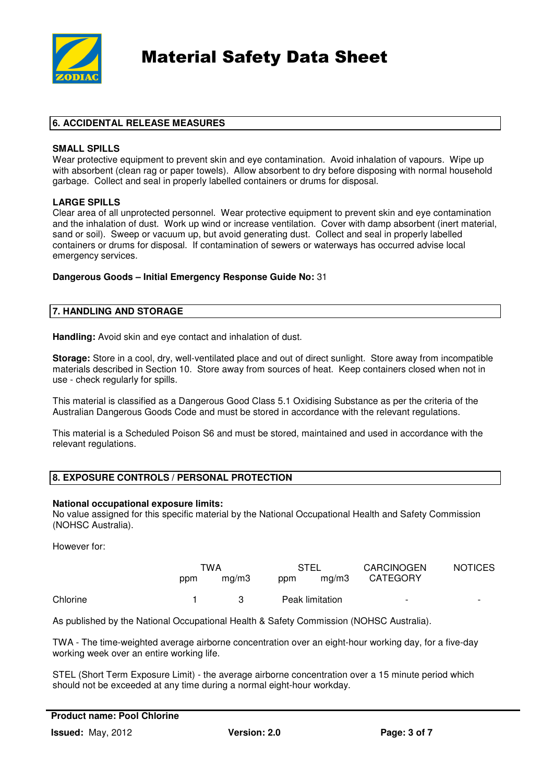

# **6. ACCIDENTAL RELEASE MEASURES**

### **SMALL SPILLS**

Wear protective equipment to prevent skin and eye contamination. Avoid inhalation of vapours. Wipe up with absorbent (clean rag or paper towels). Allow absorbent to dry before disposing with normal household garbage. Collect and seal in properly labelled containers or drums for disposal.

## **LARGE SPILLS**

Clear area of all unprotected personnel. Wear protective equipment to prevent skin and eye contamination and the inhalation of dust. Work up wind or increase ventilation. Cover with damp absorbent (inert material, sand or soil). Sweep or vacuum up, but avoid generating dust. Collect and seal in properly labelled containers or drums for disposal. If contamination of sewers or waterways has occurred advise local emergency services.

### **Dangerous Goods – Initial Emergency Response Guide No:** 31

# **7. HANDLING AND STORAGE**

**Handling:** Avoid skin and eye contact and inhalation of dust.

**Storage:** Store in a cool, dry, well-ventilated place and out of direct sunlight. Store away from incompatible materials described in Section 10. Store away from sources of heat. Keep containers closed when not in use - check regularly for spills.

This material is classified as a Dangerous Good Class 5.1 Oxidising Substance as per the criteria of the Australian Dangerous Goods Code and must be stored in accordance with the relevant regulations.

This material is a Scheduled Poison S6 and must be stored, maintained and used in accordance with the relevant regulations.

## **8. EXPOSURE CONTROLS / PERSONAL PROTECTION**

### **National occupational exposure limits:**

No value assigned for this specific material by the National Occupational Health and Safety Commission (NOHSC Australia).

However for:

|          | TWA |       | STEL            |       | <b>CARCINOGEN</b>        | <b>NOTICES</b>           |
|----------|-----|-------|-----------------|-------|--------------------------|--------------------------|
|          | ppm | ma/m3 | ppm             | mg/m3 | <b>CATEGORY</b>          |                          |
| Chlorine |     | -3.   | Peak limitation |       | $\overline{\phantom{a}}$ | $\overline{\phantom{a}}$ |

As published by the National Occupational Health & Safety Commission (NOHSC Australia).

TWA - The time-weighted average airborne concentration over an eight-hour working day, for a five-day working week over an entire working life.

STEL (Short Term Exposure Limit) - the average airborne concentration over a 15 minute period which should not be exceeded at any time during a normal eight-hour workday.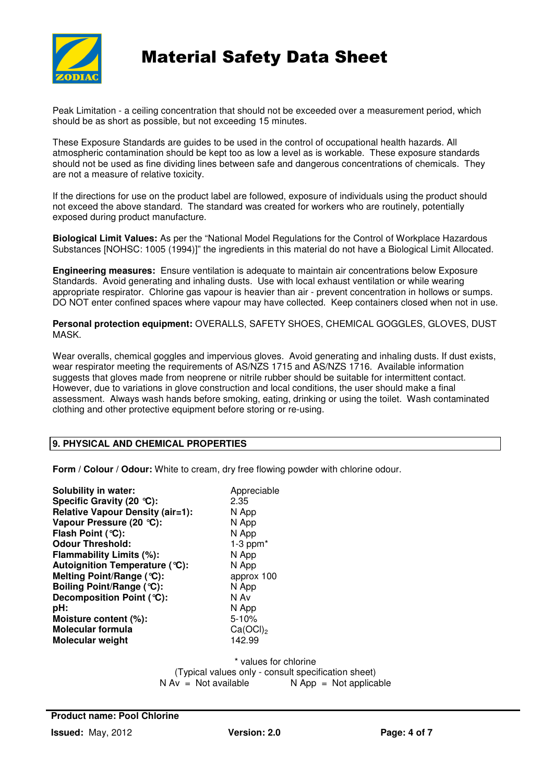

Peak Limitation - a ceiling concentration that should not be exceeded over a measurement period, which should be as short as possible, but not exceeding 15 minutes.

These Exposure Standards are guides to be used in the control of occupational health hazards. All atmospheric contamination should be kept too as low a level as is workable. These exposure standards should not be used as fine dividing lines between safe and dangerous concentrations of chemicals. They are not a measure of relative toxicity.

If the directions for use on the product label are followed, exposure of individuals using the product should not exceed the above standard. The standard was created for workers who are routinely, potentially exposed during product manufacture.

**Biological Limit Values:** As per the "National Model Regulations for the Control of Workplace Hazardous Substances [NOHSC: 1005 (1994)]" the ingredients in this material do not have a Biological Limit Allocated.

**Engineering measures:** Ensure ventilation is adequate to maintain air concentrations below Exposure Standards. Avoid generating and inhaling dusts. Use with local exhaust ventilation or while wearing appropriate respirator. Chlorine gas vapour is heavier than air - prevent concentration in hollows or sumps. DO NOT enter confined spaces where vapour may have collected. Keep containers closed when not in use.

**Personal protection equipment:** OVERALLS, SAFETY SHOES, CHEMICAL GOGGLES, GLOVES, DUST **MASK.** 

Wear overalls, chemical goggles and impervious gloves. Avoid generating and inhaling dusts. If dust exists, wear respirator meeting the requirements of AS/NZS 1715 and AS/NZS 1716. Available information suggests that gloves made from neoprene or nitrile rubber should be suitable for intermittent contact. However, due to variations in glove construction and local conditions, the user should make a final assessment. Always wash hands before smoking, eating, drinking or using the toilet. Wash contaminated clothing and other protective equipment before storing or re-using.

## **9. PHYSICAL AND CHEMICAL PROPERTIES**

**Form / Colour / Odour:** White to cream, dry free flowing powder with chlorine odour.

| <b>Solubility in water:</b>             | Appreciable          |
|-----------------------------------------|----------------------|
| Specific Gravity (20 °C):               | 2.35                 |
| <b>Relative Vapour Density (air=1):</b> | N App                |
| Vapour Pressure (20 °C):                | N App                |
| Flash Point (°C):                       | N App                |
| <b>Odour Threshold:</b>                 | $1-3$ ppm $*$        |
| Flammability Limits (%):                | N App                |
| Autoignition Temperature (°C):          | N App                |
| Melting Point/Range (°C):               | approx 100           |
| Boiling Point/Range (°C):               | N App                |
| Decomposition Point (°C):               | N Av                 |
| pH:                                     | N App                |
| Moisture content (%):                   | $5 - 10%$            |
| Molecular formula                       | Ca(OCl) <sub>2</sub> |
| <b>Molecular weight</b>                 | 142.99               |
|                                         |                      |

\* values for chlorine (Typical values only - consult specification sheet)<br>  $N Av = Not available$ <br>  $N AOD = Not$  applica  $N$  App = Not applicable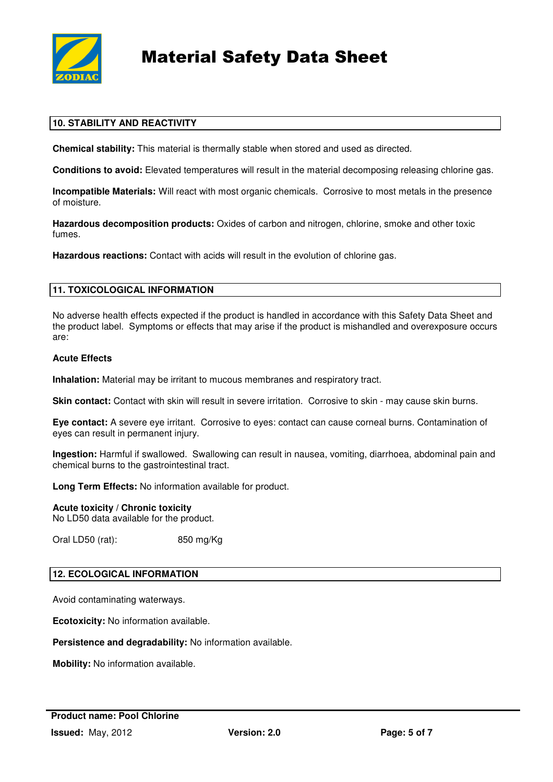

# **10. STABILITY AND REACTIVITY**

**Chemical stability:** This material is thermally stable when stored and used as directed.

**Conditions to avoid:** Elevated temperatures will result in the material decomposing releasing chlorine gas.

**Incompatible Materials:** Will react with most organic chemicals. Corrosive to most metals in the presence of moisture.

**Hazardous decomposition products:** Oxides of carbon and nitrogen, chlorine, smoke and other toxic fumes.

**Hazardous reactions:** Contact with acids will result in the evolution of chlorine gas.

## **11. TOXICOLOGICAL INFORMATION**

No adverse health effects expected if the product is handled in accordance with this Safety Data Sheet and the product label. Symptoms or effects that may arise if the product is mishandled and overexposure occurs are:

### **Acute Effects**

**Inhalation:** Material may be irritant to mucous membranes and respiratory tract.

**Skin contact:** Contact with skin will result in severe irritation. Corrosive to skin - may cause skin burns.

**Eye contact:** A severe eye irritant. Corrosive to eyes: contact can cause corneal burns. Contamination of eyes can result in permanent injury.

**Ingestion:** Harmful if swallowed. Swallowing can result in nausea, vomiting, diarrhoea, abdominal pain and chemical burns to the gastrointestinal tract.

**Long Term Effects:** No information available for product.

### **Acute toxicity / Chronic toxicity**

No LD50 data available for the product.

Oral LD50 (rat): 850 mg/Kg

## **12. ECOLOGICAL INFORMATION**

Avoid contaminating waterways.

**Ecotoxicity:** No information available.

**Persistence and degradability:** No information available.

**Mobility:** No information available.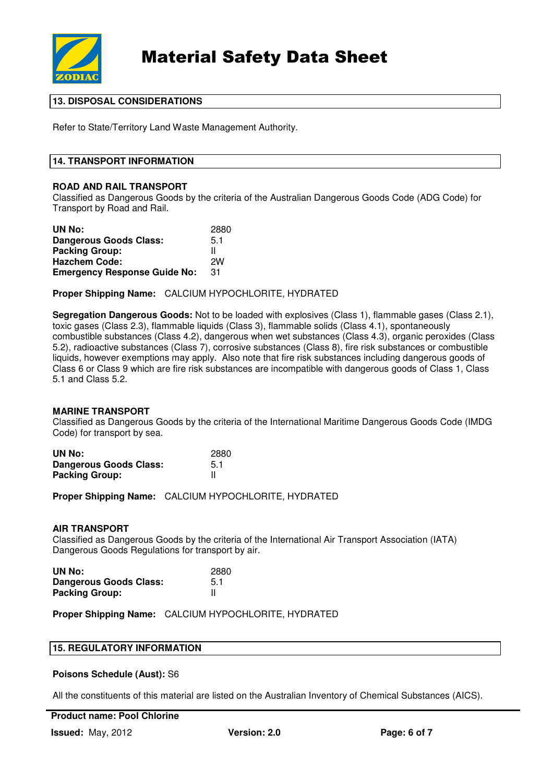

## **13. DISPOSAL CONSIDERATIONS**

Refer to State/Territory Land Waste Management Authority.

### **14. TRANSPORT INFORMATION**

### **ROAD AND RAIL TRANSPORT**

Classified as Dangerous Goods by the criteria of the Australian Dangerous Goods Code (ADG Code) for Transport by Road and Rail.

| UN No:                              | 2880 |
|-------------------------------------|------|
| <b>Dangerous Goods Class:</b>       | 5.1  |
| <b>Packing Group:</b>               | н    |
| <b>Hazchem Code:</b>                | 2W   |
| <b>Emergency Response Guide No:</b> | 31   |

**Proper Shipping Name:** CALCIUM HYPOCHLORITE, HYDRATED

**Segregation Dangerous Goods:** Not to be loaded with explosives (Class 1), flammable gases (Class 2.1), toxic gases (Class 2.3), flammable liquids (Class 3), flammable solids (Class 4.1), spontaneously combustible substances (Class 4.2), dangerous when wet substances (Class 4.3), organic peroxides (Class 5.2), radioactive substances (Class 7), corrosive substances (Class 8), fire risk substances or combustible liquids, however exemptions may apply. Also note that fire risk substances including dangerous goods of Class 6 or Class 9 which are fire risk substances are incompatible with dangerous goods of Class 1, Class 5.1 and Class 5.2.

### **MARINE TRANSPORT**

Classified as Dangerous Goods by the criteria of the International Maritime Dangerous Goods Code (IMDG Code) for transport by sea.

| UN No:                        | 2880 |
|-------------------------------|------|
| <b>Dangerous Goods Class:</b> | 5.1  |
| <b>Packing Group:</b>         |      |

**Proper Shipping Name:** CALCIUM HYPOCHLORITE, HYDRATED

### **AIR TRANSPORT**

Classified as Dangerous Goods by the criteria of the International Air Transport Association (IATA) Dangerous Goods Regulations for transport by air.

| UN No:                        | 2880 |
|-------------------------------|------|
| <b>Dangerous Goods Class:</b> | 5.1  |
| <b>Packing Group:</b>         |      |

**Proper Shipping Name:** CALCIUM HYPOCHLORITE, HYDRATED

### **Poisons Schedule (Aust):** S6

All the constituents of this material are listed on the Australian Inventory of Chemical Substances (AICS).